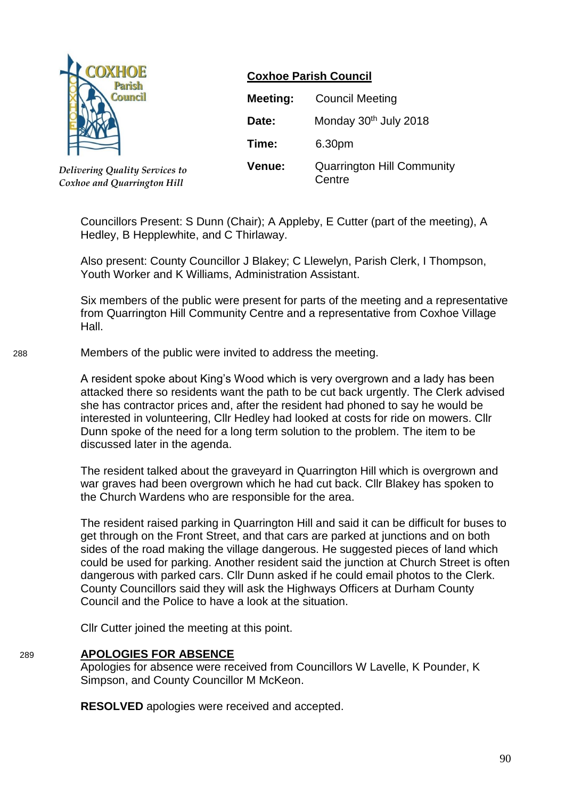

*Delivering Quality Services to Coxhoe and Quarrington Hill*

## **Coxhoe Parish Council**

| Meeting: | <b>Council Meeting</b>                      |
|----------|---------------------------------------------|
| Date:    | Monday 30th July 2018                       |
| Time:    | 6.30pm                                      |
| Venue:   | <b>Quarrington Hill Community</b><br>Centre |

Councillors Present: S Dunn (Chair); A Appleby, E Cutter (part of the meeting), A Hedley, B Hepplewhite, and C Thirlaway.

Also present: County Councillor J Blakey; C Llewelyn, Parish Clerk, I Thompson, Youth Worker and K Williams, Administration Assistant.

Six members of the public were present for parts of the meeting and a representative from Quarrington Hill Community Centre and a representative from Coxhoe Village Hall.

288 Members of the public were invited to address the meeting.

A resident spoke about King's Wood which is very overgrown and a lady has been attacked there so residents want the path to be cut back urgently. The Clerk advised she has contractor prices and, after the resident had phoned to say he would be interested in volunteering, Cllr Hedley had looked at costs for ride on mowers. Cllr Dunn spoke of the need for a long term solution to the problem. The item to be discussed later in the agenda.

The resident talked about the graveyard in Quarrington Hill which is overgrown and war graves had been overgrown which he had cut back. Cllr Blakey has spoken to the Church Wardens who are responsible for the area.

The resident raised parking in Quarrington Hill and said it can be difficult for buses to get through on the Front Street, and that cars are parked at junctions and on both sides of the road making the village dangerous. He suggested pieces of land which could be used for parking. Another resident said the junction at Church Street is often dangerous with parked cars. Cllr Dunn asked if he could email photos to the Clerk. County Councillors said they will ask the Highways Officers at Durham County Council and the Police to have a look at the situation.

Cllr Cutter joined the meeting at this point.

## 289 **APOLOGIES FOR ABSENCE**

Apologies for absence were received from Councillors W Lavelle, K Pounder, K Simpson, and County Councillor M McKeon.

**RESOLVED** apologies were received and accepted.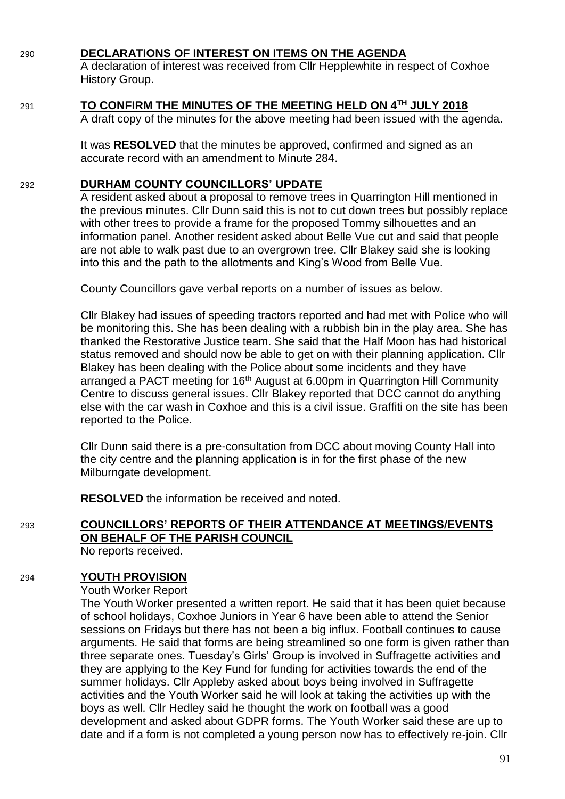## 290 **DECLARATIONS OF INTEREST ON ITEMS ON THE AGENDA**

A declaration of interest was received from Cllr Hepplewhite in respect of Coxhoe History Group.

| 291 | TO CONFIRM THE MINUTES OF THE MEETING HELD ON 4TH JULY 2018                        |
|-----|------------------------------------------------------------------------------------|
|     | A draft copy of the minutes for the above meeting had been issued with the agenda. |

It was **RESOLVED** that the minutes be approved, confirmed and signed as an accurate record with an amendment to Minute 284.

## 292 **DURHAM COUNTY COUNCILLORS' UPDATE**

A resident asked about a proposal to remove trees in Quarrington Hill mentioned in the previous minutes. Cllr Dunn said this is not to cut down trees but possibly replace with other trees to provide a frame for the proposed Tommy silhouettes and an information panel. Another resident asked about Belle Vue cut and said that people are not able to walk past due to an overgrown tree. Cllr Blakey said she is looking into this and the path to the allotments and King's Wood from Belle Vue.

County Councillors gave verbal reports on a number of issues as below.

Cllr Blakey had issues of speeding tractors reported and had met with Police who will be monitoring this. She has been dealing with a rubbish bin in the play area. She has thanked the Restorative Justice team. She said that the Half Moon has had historical status removed and should now be able to get on with their planning application. Cllr Blakey has been dealing with the Police about some incidents and they have arranged a PACT meeting for 16<sup>th</sup> August at 6.00pm in Quarrington Hill Community Centre to discuss general issues. Cllr Blakey reported that DCC cannot do anything else with the car wash in Coxhoe and this is a civil issue. Graffiti on the site has been reported to the Police.

Cllr Dunn said there is a pre-consultation from DCC about moving County Hall into the city centre and the planning application is in for the first phase of the new Milburngate development.

**RESOLVED** the information be received and noted.

# 293 **COUNCILLORS' REPORTS OF THEIR ATTENDANCE AT MEETINGS/EVENTS ON BEHALF OF THE PARISH COUNCIL**

No reports received.

## 294 **YOUTH PROVISION**

## Youth Worker Report

The Youth Worker presented a written report. He said that it has been quiet because of school holidays, Coxhoe Juniors in Year 6 have been able to attend the Senior sessions on Fridays but there has not been a big influx. Football continues to cause arguments. He said that forms are being streamlined so one form is given rather than three separate ones. Tuesday's Girls' Group is involved in Suffragette activities and they are applying to the Key Fund for funding for activities towards the end of the summer holidays. Cllr Appleby asked about boys being involved in Suffragette activities and the Youth Worker said he will look at taking the activities up with the boys as well. Cllr Hedley said he thought the work on football was a good development and asked about GDPR forms. The Youth Worker said these are up to date and if a form is not completed a young person now has to effectively re-join. Cllr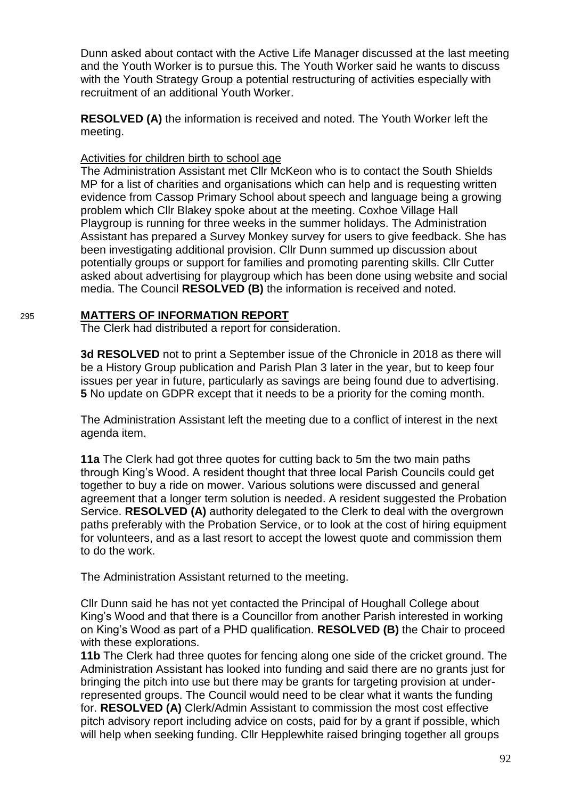Dunn asked about contact with the Active Life Manager discussed at the last meeting and the Youth Worker is to pursue this. The Youth Worker said he wants to discuss with the Youth Strategy Group a potential restructuring of activities especially with recruitment of an additional Youth Worker.

**RESOLVED (A)** the information is received and noted. The Youth Worker left the meeting.

### Activities for children birth to school age

The Administration Assistant met Cllr McKeon who is to contact the South Shields MP for a list of charities and organisations which can help and is requesting written evidence from Cassop Primary School about speech and language being a growing problem which Cllr Blakey spoke about at the meeting. Coxhoe Village Hall Playgroup is running for three weeks in the summer holidays. The Administration Assistant has prepared a Survey Monkey survey for users to give feedback. She has been investigating additional provision. Cllr Dunn summed up discussion about potentially groups or support for families and promoting parenting skills. Cllr Cutter asked about advertising for playgroup which has been done using website and social media. The Council **RESOLVED (B)** the information is received and noted.

#### 295 **MATTERS OF INFORMATION REPORT**

The Clerk had distributed a report for consideration.

**3d RESOLVED** not to print a September issue of the Chronicle in 2018 as there will be a History Group publication and Parish Plan 3 later in the year, but to keep four issues per year in future, particularly as savings are being found due to advertising. **5** No update on GDPR except that it needs to be a priority for the coming month.

The Administration Assistant left the meeting due to a conflict of interest in the next agenda item.

**11a** The Clerk had got three quotes for cutting back to 5m the two main paths through King's Wood. A resident thought that three local Parish Councils could get together to buy a ride on mower. Various solutions were discussed and general agreement that a longer term solution is needed. A resident suggested the Probation Service. **RESOLVED (A)** authority delegated to the Clerk to deal with the overgrown paths preferably with the Probation Service, or to look at the cost of hiring equipment for volunteers, and as a last resort to accept the lowest quote and commission them to do the work.

The Administration Assistant returned to the meeting.

Cllr Dunn said he has not yet contacted the Principal of Houghall College about King's Wood and that there is a Councillor from another Parish interested in working on King's Wood as part of a PHD qualification. **RESOLVED (B)** the Chair to proceed with these explorations.

**11b** The Clerk had three quotes for fencing along one side of the cricket ground. The Administration Assistant has looked into funding and said there are no grants just for bringing the pitch into use but there may be grants for targeting provision at underrepresented groups. The Council would need to be clear what it wants the funding for. **RESOLVED (A)** Clerk/Admin Assistant to commission the most cost effective pitch advisory report including advice on costs, paid for by a grant if possible, which will help when seeking funding. Cllr Hepplewhite raised bringing together all groups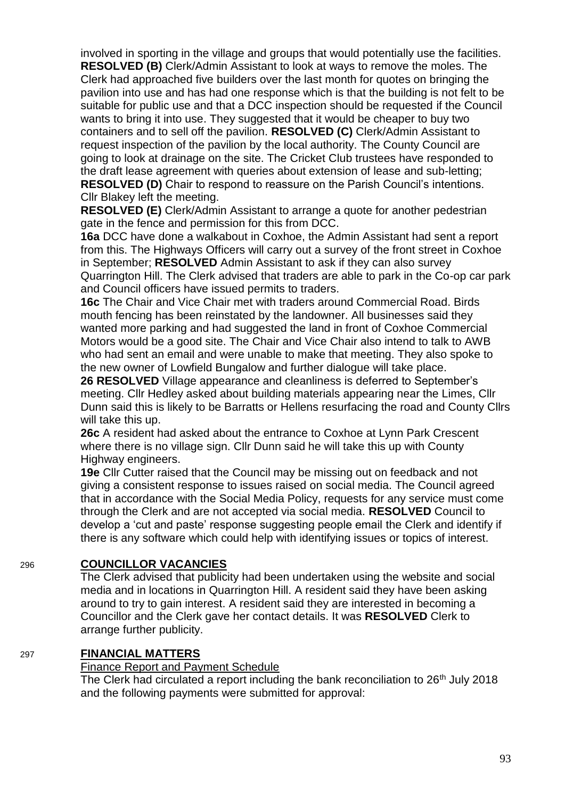involved in sporting in the village and groups that would potentially use the facilities. **RESOLVED (B)** Clerk/Admin Assistant to look at ways to remove the moles. The Clerk had approached five builders over the last month for quotes on bringing the pavilion into use and has had one response which is that the building is not felt to be suitable for public use and that a DCC inspection should be requested if the Council wants to bring it into use. They suggested that it would be cheaper to buy two containers and to sell off the pavilion. **RESOLVED (C)** Clerk/Admin Assistant to request inspection of the pavilion by the local authority. The County Council are going to look at drainage on the site. The Cricket Club trustees have responded to the draft lease agreement with queries about extension of lease and sub-letting; **RESOLVED (D)** Chair to respond to reassure on the Parish Council's intentions. Cllr Blakey left the meeting.

**RESOLVED (E)** Clerk/Admin Assistant to arrange a quote for another pedestrian gate in the fence and permission for this from DCC.

**16a** DCC have done a walkabout in Coxhoe, the Admin Assistant had sent a report from this. The Highways Officers will carry out a survey of the front street in Coxhoe in September; **RESOLVED** Admin Assistant to ask if they can also survey Quarrington Hill. The Clerk advised that traders are able to park in the Co-op car park and Council officers have issued permits to traders.

**16c** The Chair and Vice Chair met with traders around Commercial Road. Birds mouth fencing has been reinstated by the landowner. All businesses said they wanted more parking and had suggested the land in front of Coxhoe Commercial Motors would be a good site. The Chair and Vice Chair also intend to talk to AWB who had sent an email and were unable to make that meeting. They also spoke to the new owner of Lowfield Bungalow and further dialogue will take place.

**26 RESOLVED** Village appearance and cleanliness is deferred to September's meeting. Cllr Hedley asked about building materials appearing near the Limes, Cllr Dunn said this is likely to be Barratts or Hellens resurfacing the road and County Cllrs will take this up.

**26c** A resident had asked about the entrance to Coxhoe at Lynn Park Crescent where there is no village sign. Cllr Dunn said he will take this up with County Highway engineers.

**19e** Cllr Cutter raised that the Council may be missing out on feedback and not giving a consistent response to issues raised on social media. The Council agreed that in accordance with the Social Media Policy, requests for any service must come through the Clerk and are not accepted via social media. **RESOLVED** Council to develop a 'cut and paste' response suggesting people email the Clerk and identify if there is any software which could help with identifying issues or topics of interest.

## 296 **COUNCILLOR VACANCIES**

The Clerk advised that publicity had been undertaken using the website and social media and in locations in Quarrington Hill. A resident said they have been asking around to try to gain interest. A resident said they are interested in becoming a Councillor and the Clerk gave her contact details. It was **RESOLVED** Clerk to arrange further publicity.

## 297 **FINANCIAL MATTERS**

## Finance Report and Payment Schedule

The Clerk had circulated a report including the bank reconciliation to  $26<sup>th</sup>$  July 2018 and the following payments were submitted for approval: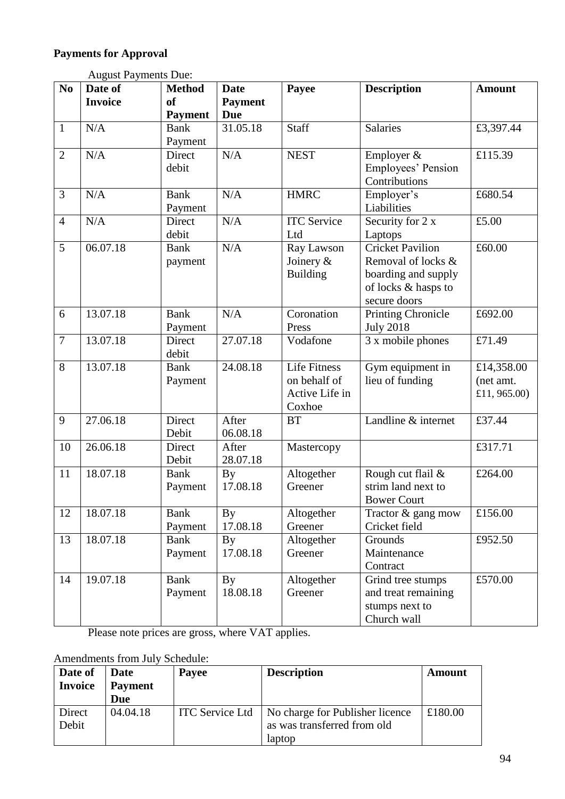# **Payments for Approval**

|                | <b>August Payments Due:</b> |                                       |                                             |                                                                 |                                                                                                             |                                         |
|----------------|-----------------------------|---------------------------------------|---------------------------------------------|-----------------------------------------------------------------|-------------------------------------------------------------------------------------------------------------|-----------------------------------------|
| N <sub>0</sub> | Date of<br><b>Invoice</b>   | <b>Method</b><br>of<br><b>Payment</b> | <b>Date</b><br><b>Payment</b><br><b>Due</b> | Payee                                                           | <b>Description</b>                                                                                          | <b>Amount</b>                           |
| $\mathbf{1}$   | N/A                         | <b>Bank</b><br>Payment                | 31.05.18                                    | Staff                                                           | <b>Salaries</b>                                                                                             | £3,397.44                               |
| $\overline{2}$ | N/A                         | Direct<br>debit                       | N/A                                         | <b>NEST</b>                                                     | Employer $&$<br>Employees' Pension<br>Contributions                                                         | £115.39                                 |
| 3              | N/A                         | <b>Bank</b><br>Payment                | N/A                                         | <b>HMRC</b>                                                     | Employer's<br>Liabilities                                                                                   | £680.54                                 |
| $\overline{4}$ | N/A                         | Direct<br>debit                       | N/A                                         | <b>ITC</b> Service<br>Ltd                                       | Security for 2 x<br>Laptops                                                                                 | £5.00                                   |
| 5              | 06.07.18                    | <b>Bank</b><br>payment                | N/A                                         | Ray Lawson<br>Joinery $\&$<br><b>Building</b>                   | <b>Cricket Pavilion</b><br>Removal of locks &<br>boarding and supply<br>of locks & hasps to<br>secure doors | £60.00                                  |
| 6              | 13.07.18                    | <b>Bank</b><br>Payment                | N/A                                         | Coronation<br>Press                                             | <b>Printing Chronicle</b><br><b>July 2018</b>                                                               | £692.00                                 |
| $\overline{7}$ | 13.07.18                    | Direct<br>debit                       | 27.07.18                                    | Vodafone                                                        | 3 x mobile phones                                                                                           | £71.49                                  |
| 8              | 13.07.18                    | <b>Bank</b><br>Payment                | 24.08.18                                    | <b>Life Fitness</b><br>on behalf of<br>Active Life in<br>Coxhoe | Gym equipment in<br>lieu of funding                                                                         | £14,358.00<br>(net amt.<br>£11, 965.00) |
| 9              | 27.06.18                    | Direct<br>Debit                       | After<br>06.08.18                           | <b>BT</b>                                                       | Landline & internet                                                                                         | £37.44                                  |
| 10             | 26.06.18                    | Direct<br>Debit                       | After<br>28.07.18                           | Mastercopy                                                      |                                                                                                             | £317.71                                 |
| 11             | 18.07.18                    | <b>Bank</b><br>Payment                | <b>By</b><br>17.08.18                       | Altogether<br>Greener                                           | Rough cut flail &<br>strim land next to<br><b>Bower Court</b>                                               | £264.00                                 |
| 12             | 18.07.18                    | <b>Bank</b><br>Payment                | <b>By</b><br>17.08.18                       | Altogether<br>Greener                                           | Tractor & gang mow<br>Cricket field                                                                         | £156.00                                 |
| 13             | 18.07.18                    | <b>Bank</b><br>Payment                | By<br>17.08.18                              | Altogether<br>Greener                                           | Grounds<br>Maintenance<br>Contract                                                                          | £952.50                                 |
| 14             | 19.07.18                    | <b>Bank</b><br>Payment                | By<br>18.08.18                              | Altogether<br>Greener                                           | Grind tree stumps<br>and treat remaining<br>stumps next to<br>Church wall                                   | £570.00                                 |

Please note prices are gross, where VAT applies.

# Amendments from July Schedule:

| Date of<br><b>Invoice</b> | Date<br><b>Payment</b><br>Due | Payee                  | <b>Description</b>                                                       | Amount  |
|---------------------------|-------------------------------|------------------------|--------------------------------------------------------------------------|---------|
| Direct<br>Debit           | 04.04.18                      | <b>ITC</b> Service Ltd | No charge for Publisher licence<br>as was transferred from old<br>laptop | £180.00 |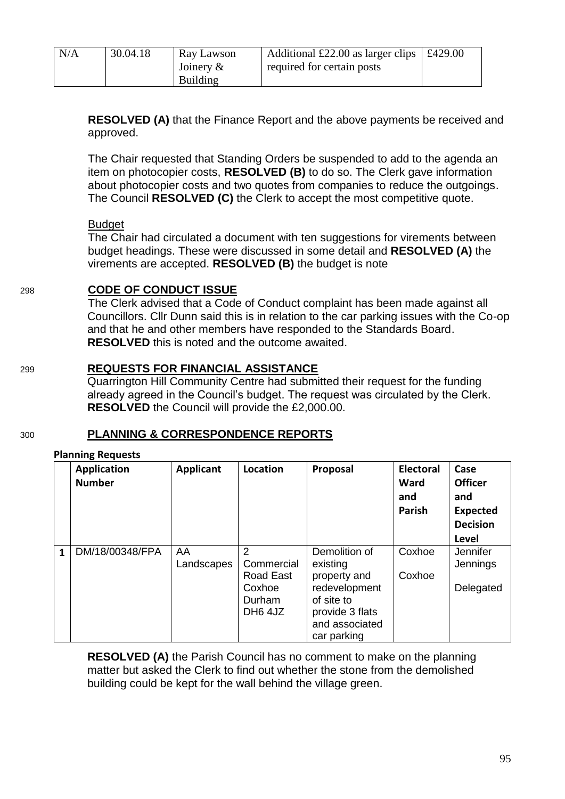| N/A | 30.04.18 | Ray Lawson<br>Joinery $\&$ | Additional £22.00 as larger clips $\vert$ £429.00<br>required for certain posts |  |
|-----|----------|----------------------------|---------------------------------------------------------------------------------|--|
|     |          | <b>Building</b>            |                                                                                 |  |

**RESOLVED (A)** that the Finance Report and the above payments be received and approved.

The Chair requested that Standing Orders be suspended to add to the agenda an item on photocopier costs, **RESOLVED (B)** to do so. The Clerk gave information about photocopier costs and two quotes from companies to reduce the outgoings. The Council **RESOLVED (C)** the Clerk to accept the most competitive quote.

## Budget

The Chair had circulated a document with ten suggestions for virements between budget headings. These were discussed in some detail and **RESOLVED (A)** the virements are accepted. **RESOLVED (B)** the budget is note

## 298 **CODE OF CONDUCT ISSUE**

The Clerk advised that a Code of Conduct complaint has been made against all Councillors. Cllr Dunn said this is in relation to the car parking issues with the Co-op and that he and other members have responded to the Standards Board. **RESOLVED** this is noted and the outcome awaited.

## 299 **REQUESTS FOR FINANCIAL ASSISTANCE**

Quarrington Hill Community Centre had submitted their request for the funding already agreed in the Council's budget. The request was circulated by the Clerk. **RESOLVED** the Council will provide the £2,000.00.

## 300 **PLANNING & CORRESPONDENCE REPORTS**

#### **Planning Requests**

|              | <b>Application</b><br><b>Number</b> | <b>Applicant</b> | Location                                                                | Proposal                                                                                                                     | <b>Electoral</b><br>Ward<br>and<br>Parish | Case<br><b>Officer</b><br>and<br><b>Expected</b><br><b>Decision</b><br><b>Level</b> |
|--------------|-------------------------------------|------------------|-------------------------------------------------------------------------|------------------------------------------------------------------------------------------------------------------------------|-------------------------------------------|-------------------------------------------------------------------------------------|
| $\mathbf{1}$ | DM/18/00348/FPA                     | AA<br>Landscapes | 2<br>Commercial<br>Road East<br>Coxhoe<br>Durham<br>DH <sub>6</sub> 4JZ | Demolition of<br>existing<br>property and<br>redevelopment<br>of site to<br>provide 3 flats<br>and associated<br>car parking | Coxhoe<br>Coxhoe                          | Jennifer<br>Jennings<br>Delegated                                                   |

**RESOLVED (A)** the Parish Council has no comment to make on the planning matter but asked the Clerk to find out whether the stone from the demolished building could be kept for the wall behind the village green.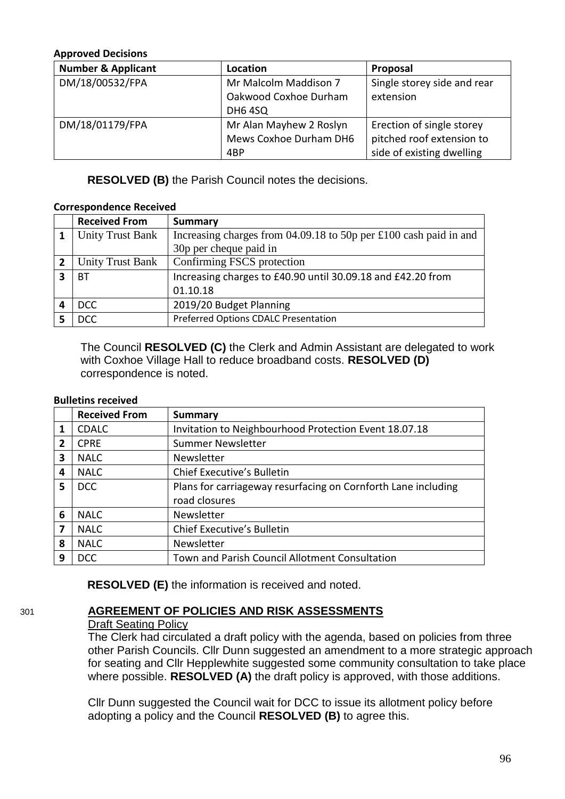#### **Approved Decisions**

| <b>Number &amp; Applicant</b> | Location                | Proposal                    |
|-------------------------------|-------------------------|-----------------------------|
| DM/18/00532/FPA               | Mr Malcolm Maddison 7   | Single storey side and rear |
|                               | Oakwood Coxhoe Durham   | extension                   |
|                               | <b>DH6 4SQ</b>          |                             |
| DM/18/01179/FPA               | Mr Alan Mayhew 2 Roslyn | Erection of single storey   |
|                               | Mews Coxhoe Durham DH6  | pitched roof extension to   |
|                               | 4BP                     | side of existing dwelling   |

**RESOLVED (B)** the Parish Council notes the decisions.

#### **Correspondence Received**

|   | <b>Received From</b>    | <b>Summary</b>                                                      |
|---|-------------------------|---------------------------------------------------------------------|
|   | <b>Unity Trust Bank</b> | Increasing charges from $04.09.18$ to 50p per £100 cash paid in and |
|   |                         | 30p per cheque paid in                                              |
|   | <b>Unity Trust Bank</b> | Confirming FSCS protection                                          |
| З | ВT                      | Increasing charges to £40.90 until 30.09.18 and £42.20 from         |
|   |                         | 01.10.18                                                            |
|   | DCC                     | 2019/20 Budget Planning                                             |
|   | <b>DCC</b>              | Preferred Options CDALC Presentation                                |

The Council **RESOLVED (C)** the Clerk and Admin Assistant are delegated to work with Coxhoe Village Hall to reduce broadband costs. **RESOLVED (D)** correspondence is noted.

#### **Bulletins received**

|   | <b>Received From</b> | <b>Summary</b>                                                |
|---|----------------------|---------------------------------------------------------------|
| 1 | <b>CDALC</b>         | Invitation to Neighbourhood Protection Event 18.07.18         |
| 2 | <b>CPRE</b>          | <b>Summer Newsletter</b>                                      |
| 3 | <b>NALC</b>          | Newsletter                                                    |
| 4 | <b>NALC</b>          | <b>Chief Executive's Bulletin</b>                             |
| 5 | <b>DCC</b>           | Plans for carriageway resurfacing on Cornforth Lane including |
|   |                      | road closures                                                 |
| 6 | <b>NALC</b>          | Newsletter                                                    |
| 7 | <b>NALC</b>          | <b>Chief Executive's Bulletin</b>                             |
| 8 | <b>NALC</b>          | Newsletter                                                    |
| 9 | <b>DCC</b>           | Town and Parish Council Allotment Consultation                |

**RESOLVED (E)** the information is received and noted.

# 301 **AGREEMENT OF POLICIES AND RISK ASSESSMENTS**

## Draft Seating Policy

The Clerk had circulated a draft policy with the agenda, based on policies from three other Parish Councils. Cllr Dunn suggested an amendment to a more strategic approach for seating and Cllr Hepplewhite suggested some community consultation to take place where possible. **RESOLVED (A)** the draft policy is approved, with those additions.

Cllr Dunn suggested the Council wait for DCC to issue its allotment policy before adopting a policy and the Council **RESOLVED (B)** to agree this.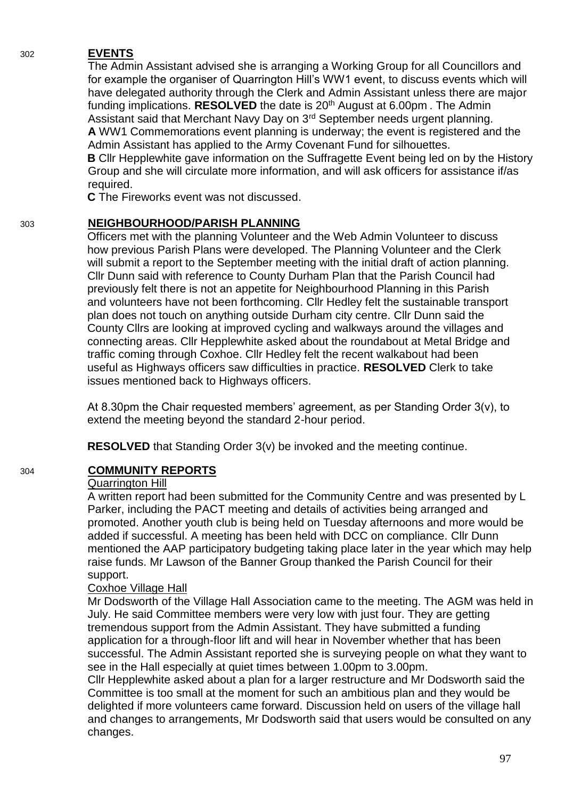## 302 **EVENTS**

The Admin Assistant advised she is arranging a Working Group for all Councillors and for example the organiser of Quarrington Hill's WW1 event, to discuss events which will have delegated authority through the Clerk and Admin Assistant unless there are major funding implications. **RESOLVED** the date is 20<sup>th</sup> August at 6.00pm. The Admin Assistant said that Merchant Navy Day on 3<sup>rd</sup> September needs urgent planning. **A** WW1 Commemorations event planning is underway; the event is registered and the Admin Assistant has applied to the Army Covenant Fund for silhouettes. **B** Cllr Hepplewhite gave information on the Suffragette Event being led on by the History Group and she will circulate more information, and will ask officers for assistance if/as required.

**C** The Fireworks event was not discussed.

## 303 **NEIGHBOURHOOD/PARISH PLANNING**

Officers met with the planning Volunteer and the Web Admin Volunteer to discuss how previous Parish Plans were developed. The Planning Volunteer and the Clerk will submit a report to the September meeting with the initial draft of action planning. Cllr Dunn said with reference to County Durham Plan that the Parish Council had previously felt there is not an appetite for Neighbourhood Planning in this Parish and volunteers have not been forthcoming. Cllr Hedley felt the sustainable transport plan does not touch on anything outside Durham city centre. Cllr Dunn said the County Cllrs are looking at improved cycling and walkways around the villages and connecting areas. Cllr Hepplewhite asked about the roundabout at Metal Bridge and traffic coming through Coxhoe. Cllr Hedley felt the recent walkabout had been useful as Highways officers saw difficulties in practice. **RESOLVED** Clerk to take issues mentioned back to Highways officers.

At 8.30pm the Chair requested members' agreement, as per Standing Order 3(v), to extend the meeting beyond the standard 2-hour period.

**RESOLVED** that Standing Order 3(v) be invoked and the meeting continue.

# 304 **COMMUNITY REPORTS**

## Quarrington Hill

A written report had been submitted for the Community Centre and was presented by L Parker, including the PACT meeting and details of activities being arranged and promoted. Another youth club is being held on Tuesday afternoons and more would be added if successful. A meeting has been held with DCC on compliance. Cllr Dunn mentioned the AAP participatory budgeting taking place later in the year which may help raise funds. Mr Lawson of the Banner Group thanked the Parish Council for their support.

## Coxhoe Village Hall

Mr Dodsworth of the Village Hall Association came to the meeting. The AGM was held in July. He said Committee members were very low with just four. They are getting tremendous support from the Admin Assistant. They have submitted a funding application for a through-floor lift and will hear in November whether that has been successful. The Admin Assistant reported she is surveying people on what they want to see in the Hall especially at quiet times between 1.00pm to 3.00pm.

Cllr Hepplewhite asked about a plan for a larger restructure and Mr Dodsworth said the Committee is too small at the moment for such an ambitious plan and they would be delighted if more volunteers came forward. Discussion held on users of the village hall and changes to arrangements, Mr Dodsworth said that users would be consulted on any changes.